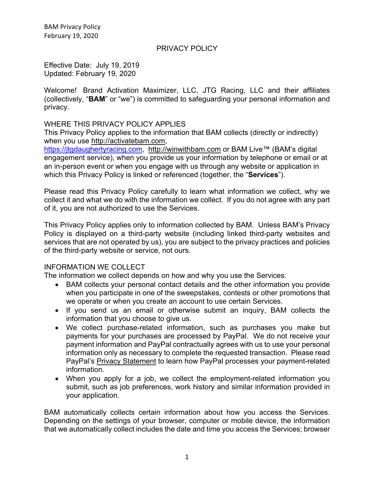### PRIVACY POLICY

Effective Date: July 19, 2019 Updated: February 19, 2020

Welcome! Brand Activation Maximizer, LLC, JTG Racing, LLC and their affiliates (collectively, "**BAM**" or "we") is committed to safeguarding your personal information and privacy.

#### WHERE THIS PRIVACY POLICY APPLIES

This Privacy Policy applies to the information that BAM collects (directly or indirectly) when you use http://activatebam.com,

https://jtgdaughertyracing.com, http://winwithbam.com or BAM Live™ (BAM's digital engagement service), when you provide us your information by telephone or email or at an in-person event or when you engage with us through any website or application in which this Privacy Policy is linked or referenced (together, the "**Services**").

Please read this Privacy Policy carefully to learn what information we collect, why we collect it and what we do with the information we collect. If you do not agree with any part of it, you are not authorized to use the Services.

This Privacy Policy applies only to information collected by BAM. Unless BAM's Privacy Policy is displayed on a third-party website (including linked third-party websites and services that are not operated by us), you are subject to the privacy practices and policies of the third-party website or service, not ours.

## INFORMATION WE COLLECT

The information we collect depends on how and why you use the Services:

- BAM collects your personal contact details and the other information you provide when you participate in one of the sweepstakes, contests or other promotions that we operate or when you create an account to use certain Services.
- If you send us an email or otherwise submit an inquiry, BAM collects the information that you choose to give us.
- We collect purchase-related information, such as purchases you make but payments for your purchases are processed by PayPal. We do not receive your payment information and PayPal contractually agrees with us to use your personal information only as necessary to complete the requested transaction. Please read PayPal's Privacy Statement to learn how PayPal processes your payment-related information.
- When you apply for a job, we collect the employment-related information you submit, such as job preferences, work history and similar information provided in your application.

BAM automatically collects certain information about how you access the Services. Depending on the settings of your browser, computer or mobile device, the information that we automatically collect includes the date and time you access the Services; browser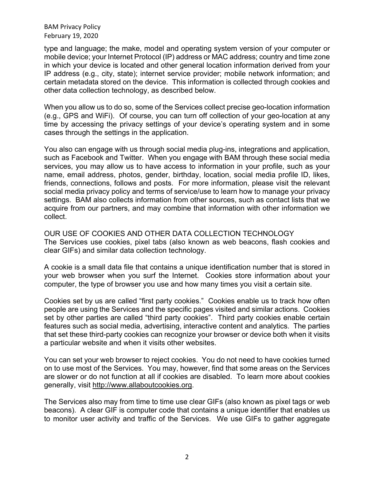type and language; the make, model and operating system version of your computer or mobile device; your Internet Protocol (IP) address or MAC address; country and time zone in which your device is located and other general location information derived from your IP address (e.g., city, state); internet service provider; mobile network information; and certain metadata stored on the device. This information is collected through cookies and other data collection technology, as described below.

When you allow us to do so, some of the Services collect precise geo-location information (e.g., GPS and WiFi). Of course, you can turn off collection of your geo-location at any time by accessing the privacy settings of your device's operating system and in some cases through the settings in the application.

You also can engage with us through social media plug-ins, integrations and application, such as Facebook and Twitter. When you engage with BAM through these social media services, you may allow us to have access to information in your profile, such as your name, email address, photos, gender, birthday, location, social media profile ID, likes, friends, connections, follows and posts. For more information, please visit the relevant social media privacy policy and terms of service/use to learn how to manage your privacy settings. BAM also collects information from other sources, such as contact lists that we acquire from our partners, and may combine that information with other information we collect.

OUR USE OF COOKIES AND OTHER DATA COLLECTION TECHNOLOGY The Services use cookies, pixel tabs (also known as web beacons, flash cookies and clear GIFs) and similar data collection technology.

A cookie is a small data file that contains a unique identification number that is stored in your web browser when you surf the Internet. Cookies store information about your computer, the type of browser you use and how many times you visit a certain site.

Cookies set by us are called "first party cookies." Cookies enable us to track how often people are using the Services and the specific pages visited and similar actions. Cookies set by other parties are called "third party cookies". Third party cookies enable certain features such as social media, advertising, interactive content and analytics. The parties that set these third-party cookies can recognize your browser or device both when it visits a particular website and when it visits other websites.

You can set your web browser to reject cookies. You do not need to have cookies turned on to use most of the Services. You may, however, find that some areas on the Services are slower or do not function at all if cookies are disabled. To learn more about cookies generally, visit http://www.allaboutcookies.org.

The Services also may from time to time use clear GIFs (also known as pixel tags or web beacons). A clear GIF is computer code that contains a unique identifier that enables us to monitor user activity and traffic of the Services. We use GIFs to gather aggregate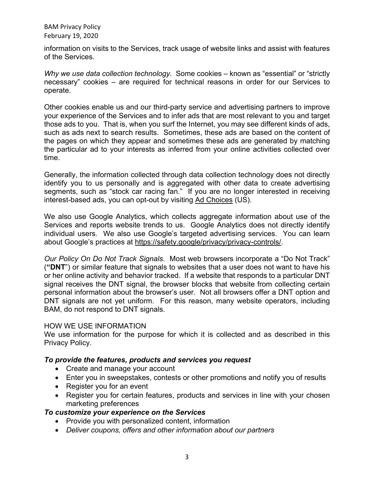information on visits to the Services, track usage of website links and assist with features of the Services.

*Why we use data collection technology.* Some cookies – known as "essential" or "strictly necessary" cookies – are required for technical reasons in order for our Services to operate.

Other cookies enable us and our third-party service and advertising partners to improve your experience of the Services and to infer ads that are most relevant to you and target those ads to you. That is, when you surf the Internet, you may see different kinds of ads, such as ads next to search results. Sometimes, these ads are based on the content of the pages on which they appear and sometimes these ads are generated by matching the particular ad to your interests as inferred from your online activities collected over time.

Generally, the information collected through data collection technology does not directly identify you to us personally and is aggregated with other data to create advertising segments, such as "stock car racing fan." If you are no longer interested in receiving interest-based ads, you can opt-out by visiting Ad Choices (US).

We also use Google Analytics, which collects aggregate information about use of the Services and reports website trends to us. Google Analytics does not directly identify individual users. We also use Google's targeted advertising services. You can learn about Google's practices at https://safety.google/privacy/privacy-controls/.

*Our Policy On Do Not Track Signals*. Most web browsers incorporate a "Do Not Track" (**"DNT**") or similar feature that signals to websites that a user does not want to have his or her online activity and behavior tracked. If a website that responds to a particular DNT signal receives the DNT signal, the browser blocks that website from collecting certain personal information about the browser's user. Not all browsers offer a DNT option and DNT signals are not yet uniform. For this reason, many website operators, including BAM, do not respond to DNT signals.

## HOW WE USE INFORMATION

We use information for the purpose for which it is collected and as described in this Privacy Policy.

## *To provide the features, products and services you request*

- Create and manage your account
- Enter you in sweepstakes, contests or other promotions and notify you of results
- Register you for an event
- Register you for certain features, products and services in line with your chosen marketing preferences

## *To customize your experience on the Services*

- Provide you with personalized content, information
- *Deliver coupons, offers and other information about our partners*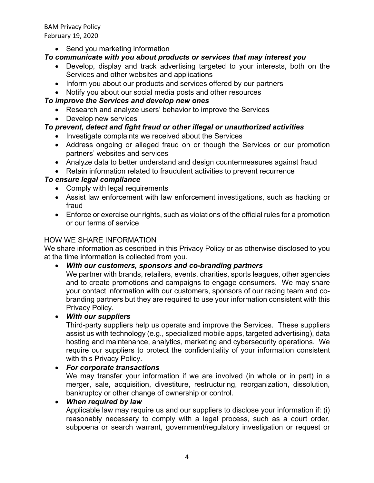• Send you marketing information

# *To communicate with you about products or services that may interest you*

- Develop, display and track advertising targeted to your interests, both on the Services and other websites and applications
- Inform you about our products and services offered by our partners
- Notify you about our social media posts and other resources

# *To improve the Services and develop new ones*

- Research and analyze users' behavior to improve the Services
- Develop new services

# *To prevent, detect and fight fraud or other illegal or unauthorized activities*

- Investigate complaints we received about the Services
- Address ongoing or alleged fraud on or though the Services or our promotion partners' websites and services
- Analyze data to better understand and design countermeasures against fraud
- Retain information related to fraudulent activities to prevent recurrence

# *To ensure legal compliance*

- Comply with legal requirements
- Assist law enforcement with law enforcement investigations, such as hacking or fraud
- Enforce or exercise our rights, such as violations of the official rules for a promotion or our terms of service

## HOW WE SHARE INFORMATION

We share information as described in this Privacy Policy or as otherwise disclosed to you at the time information is collected from you.

• *With our customers, sponsors and co-branding partners*

We partner with brands, retailers, events, charities, sports leagues, other agencies and to create promotions and campaigns to engage consumers. We may share your contact information with our customers, sponsors of our racing team and cobranding partners but they are required to use your information consistent with this Privacy Policy.

• *With our suppliers*

Third-party suppliers help us operate and improve the Services. These suppliers assist us with technology (e.g., specialized mobile apps, targeted advertising), data hosting and maintenance, analytics, marketing and cybersecurity operations. We require our suppliers to protect the confidentiality of your information consistent with this Privacy Policy.

## • *For corporate transactions*

We may transfer your information if we are involved (in whole or in part) in a merger, sale, acquisition, divestiture, restructuring, reorganization, dissolution, bankruptcy or other change of ownership or control.

## • *When required by law*

Applicable law may require us and our suppliers to disclose your information if: (i) reasonably necessary to comply with a legal process, such as a court order, subpoena or search warrant, government/regulatory investigation or request or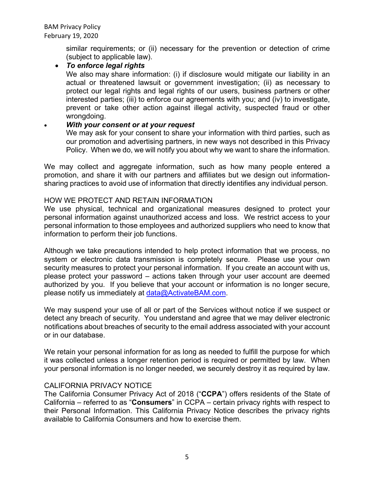similar requirements; or (ii) necessary for the prevention or detection of crime (subject to applicable law).

• *To enforce legal rights*

We also may share information: (i) if disclosure would mitigate our liability in an actual or threatened lawsuit or government investigation; (ii) as necessary to protect our legal rights and legal rights of our users, business partners or other interested parties; (iii) to enforce our agreements with you; and (iv) to investigate, prevent or take other action against illegal activity, suspected fraud or other wrongdoing.

## • *With your consent or at your request*

We may ask for your consent to share your information with third parties, such as our promotion and advertising partners, in new ways not described in this Privacy Policy. When we do, we will notify you about why we want to share the information.

We may collect and aggregate information, such as how many people entered a promotion, and share it with our partners and affiliates but we design out informationsharing practices to avoid use of information that directly identifies any individual person.

### HOW WE PROTECT AND RETAIN INFORMATION

We use physical, technical and organizational measures designed to protect your personal information against unauthorized access and loss. We restrict access to your personal information to those employees and authorized suppliers who need to know that information to perform their job functions.

Although we take precautions intended to help protect information that we process, no system or electronic data transmission is completely secure. Please use your own security measures to protect your personal information. If you create an account with us, please protect your password – actions taken through your user account are deemed authorized by you. If you believe that your account or information is no longer secure, please notify us immediately at data@ActivateBAM.com.

We may suspend your use of all or part of the Services without notice if we suspect or detect any breach of security. You understand and agree that we may deliver electronic notifications about breaches of security to the email address associated with your account or in our database.

We retain your personal information for as long as needed to fulfill the purpose for which it was collected unless a longer retention period is required or permitted by law. When your personal information is no longer needed, we securely destroy it as required by law.

## CALIFORNIA PRIVACY NOTICE

The California Consumer Privacy Act of 2018 ("**CCPA**") offers residents of the State of California – referred to as "**Consumers**" in CCPA – certain privacy rights with respect to their Personal Information. This California Privacy Notice describes the privacy rights available to California Consumers and how to exercise them.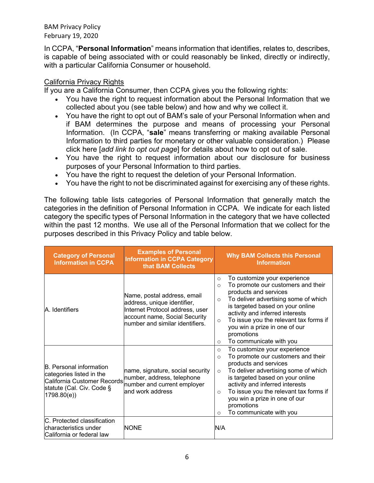In CCPA, "**Personal Information**" means information that identifies, relates to, describes, is capable of being associated with or could reasonably be linked, directly or indirectly, with a particular California Consumer or household.

## California Privacy Rights

If you are a California Consumer, then CCPA gives you the following rights:

- You have the right to request information about the Personal Information that we collected about you (see table below) and how and why we collect it.
- You have the right to opt out of BAM's sale of your Personal Information when and if BAM determines the purpose and means of processing your Personal Information. (In CCPA, "**sale**" means transferring or making available Personal Information to third parties for monetary or other valuable consideration.) Please click here [*add link to opt out page*] for details about how to opt out of sale.
- You have the right to request information about our disclosure for business purposes of your Personal Information to third parties.
- You have the right to request the deletion of your Personal Information.
- You have the right to not be discriminated against for exercising any of these rights.

The following table lists categories of Personal Information that generally match the categories in the definition of Personal Information in CCPA. We indicate for each listed category the specific types of Personal Information in the category that we have collected within the past 12 months. We use all of the Personal Information that we collect for the purposes described in this Privacy Policy and table below.

| <b>Category of Personal</b><br><b>Information in CCPA</b>                                                                            | <b>Examples of Personal</b><br><b>Information in CCPA Category</b><br>that BAM Collects                                                                           |                                                       | <b>Why BAM Collects this Personal</b><br><b>Information</b>                                                                                                                                                                                                                                                                    |
|--------------------------------------------------------------------------------------------------------------------------------------|-------------------------------------------------------------------------------------------------------------------------------------------------------------------|-------------------------------------------------------|--------------------------------------------------------------------------------------------------------------------------------------------------------------------------------------------------------------------------------------------------------------------------------------------------------------------------------|
| A. Identifiers                                                                                                                       | Name, postal address, email<br>address, unique identifier,<br>Internet Protocol address, user<br>account name, Social Security<br>number and similar identifiers. | $\circ$<br>$\Omega$<br>$\Omega$<br>$\circ$<br>$\circ$ | To customize your experience<br>To promote our customers and their<br>products and services<br>To deliver advertising some of which<br>is targeted based on your online<br>activity and inferred interests<br>To issue you the relevant tax forms if<br>you win a prize in one of our<br>promotions<br>To communicate with you |
| <b>B.</b> Personal information<br>categories listed in the<br>California Customer Records<br>statute (Cal. Civ. Code §<br>1798.80(e) | name, signature, social security<br>number, address, telephone<br>number and current employer<br>and work address                                                 | $\circ$<br>$\circ$<br>$\circ$<br>$\Omega$<br>$\Omega$ | To customize your experience<br>To promote our customers and their<br>products and services<br>To deliver advertising some of which<br>is targeted based on your online<br>activity and inferred interests<br>To issue you the relevant tax forms if<br>you win a prize in one of our<br>promotions<br>To communicate with you |
| C. Protected classification<br>characteristics under<br>California or federal law                                                    | <b>NONE</b>                                                                                                                                                       | N/A                                                   |                                                                                                                                                                                                                                                                                                                                |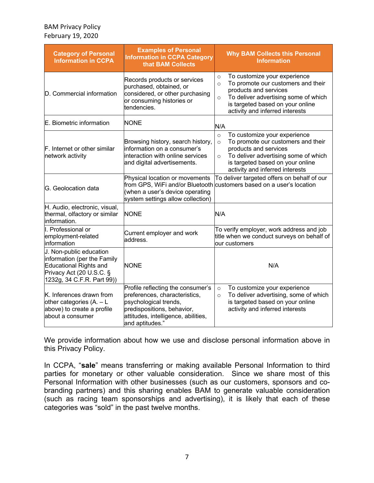| <b>Category of Personal</b><br><b>Information in CCPA</b>                                                                                         | <b>Examples of Personal</b><br><b>Information in CCPA Category</b><br>that BAM Collects                                                                                             | <b>Why BAM Collects this Personal</b><br><b>Information</b>                                                                                                                                                                                 |
|---------------------------------------------------------------------------------------------------------------------------------------------------|-------------------------------------------------------------------------------------------------------------------------------------------------------------------------------------|---------------------------------------------------------------------------------------------------------------------------------------------------------------------------------------------------------------------------------------------|
| D. Commercial information                                                                                                                         | Records products or services<br>purchased, obtained, or<br>considered, or other purchasing<br>or consuming histories or<br>tendencies.                                              | To customize your experience<br>$\circ$<br>To promote our customers and their<br>$\circ$<br>products and services<br>To deliver advertising some of which<br>$\circ$<br>is targeted based on your online<br>activity and inferred interests |
| E. Biometric information                                                                                                                          | <b>NONE</b>                                                                                                                                                                         | N/A                                                                                                                                                                                                                                         |
| F. Internet or other similar<br>network activity                                                                                                  | Browsing history, search history,<br>information on a consumer's<br>interaction with online services<br>and digital advertisements.                                                 | To customize your experience<br>$\circ$<br>To promote our customers and their<br>$\circ$<br>products and services<br>To deliver advertising some of which<br>$\circ$<br>is targeted based on your online<br>activity and inferred interests |
| G. Geolocation data                                                                                                                               | Physical location or movements<br>from GPS, WiFi and/or Bluetooth<br>(when a user's device operating<br>system settings allow collection)                                           | To deliver targeted offers on behalf of our<br>customers based on a user's location                                                                                                                                                         |
| H. Audio, electronic, visual,<br>thermal, olfactory or similar<br>information.                                                                    | <b>NONE</b>                                                                                                                                                                         | N/A                                                                                                                                                                                                                                         |
| I. Professional or<br>employment-related<br>information                                                                                           | Current employer and work<br>address.                                                                                                                                               | To verify employer, work address and job<br>title when we conduct surveys on behalf of<br>our customers                                                                                                                                     |
| J. Non-public education<br>information (per the Family<br><b>Educational Rights and</b><br>Privacy Act (20 U.S.C. §<br>1232g, 34 C.F.R. Part 99)) | <b>NONE</b>                                                                                                                                                                         | N/A                                                                                                                                                                                                                                         |
| K. Inferences drawn from<br>other categories $(A. - L)$<br>above) to create a profile<br>about a consumer                                         | Profile reflecting the consumer's<br>preferences, characteristics,<br>psychological trends,<br>predispositions, behavior,<br>attitudes, intelligence, abilities,<br>and aptitudes." | To customize your experience<br>$\circ$<br>To deliver advertising, some of which<br>$\circ$<br>is targeted based on your online<br>activity and inferred interests                                                                          |

We provide information about how we use and disclose personal information above in this Privacy Policy.

In CCPA, "**sale**" means transferring or making available Personal Information to third parties for monetary or other valuable consideration. Since we share most of this Personal Information with other businesses (such as our customers, sponsors and cobranding partners) and this sharing enables BAM to generate valuable consideration (such as racing team sponsorships and advertising), it is likely that each of these categories was "sold" in the past twelve months.